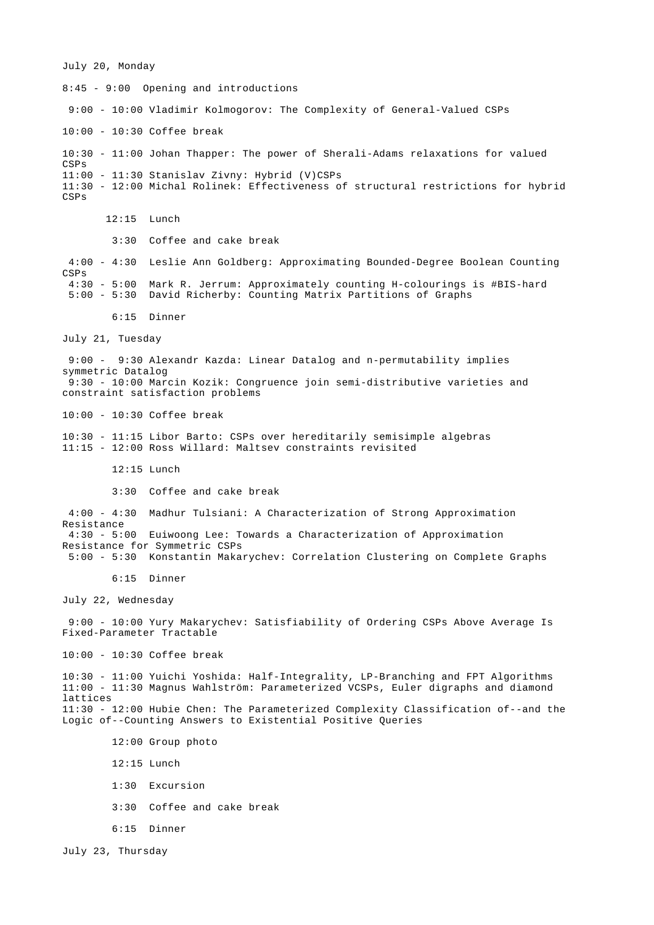July 20, Monday

8:45 - 9:00 Opening and introductions 9:00 - 10:00 Vladimir Kolmogorov: The Complexity of General-Valued CSPs 10:00 - 10:30 Coffee break 10:30 - 11:00 Johan Thapper: The power of Sherali-Adams relaxations for valued CSPs 11:00 - 11:30 Stanislav Zivny: Hybrid (V)CSPs 11:30 - 12:00 Michal Rolinek: Effectiveness of structural restrictions for hybrid CSPs 12:15 Lunch 3:30 Coffee and cake break 4:00 - 4:30 Leslie Ann Goldberg: Approximating Bounded-Degree Boolean Counting CSPs 4:30 - 5:00 Mark R. Jerrum: Approximately counting H-colourings is #BIS-hard 5:00 - 5:30 David Richerby: Counting Matrix Partitions of Graphs 6:15 Dinner July 21, Tuesday 9:00 - 9:30 Alexandr Kazda: Linear Datalog and n-permutability implies symmetric Datalog 9:30 - 10:00 Marcin Kozik: Congruence join semi-distributive varieties and constraint satisfaction problems 10:00 - 10:30 Coffee break 10:30 - 11:15 Libor Barto: CSPs over hereditarily semisimple algebras 11:15 - 12:00 Ross Willard: Maltsev constraints revisited 12:15 Lunch 3:30 Coffee and cake break 4:00 - 4:30 Madhur Tulsiani: A Characterization of Strong Approximation Resistance 4:30 - 5:00 Euiwoong Lee: Towards a Characterization of Approximation Resistance for Symmetric CSPs 5:00 - 5:30 Konstantin Makarychev: Correlation Clustering on Complete Graphs 6:15 Dinner July 22, Wednesday 9:00 - 10:00 Yury Makarychev: Satisfiability of Ordering CSPs Above Average Is Fixed-Parameter Tractable 10:00 - 10:30 Coffee break 10:30 - 11:00 Yuichi Yoshida: Half-Integrality, LP-Branching and FPT Algorithms 11:00 - 11:30 Magnus Wahlström: Parameterized VCSPs, Euler digraphs and diamond lattices 11:30 - 12:00 Hubie Chen: The Parameterized Complexity Classification of--and the Logic of--Counting Answers to Existential Positive Queries 12:00 Group photo 12:15 Lunch 1:30 Excursion 3:30 Coffee and cake break 6:15 Dinner July 23, Thursday